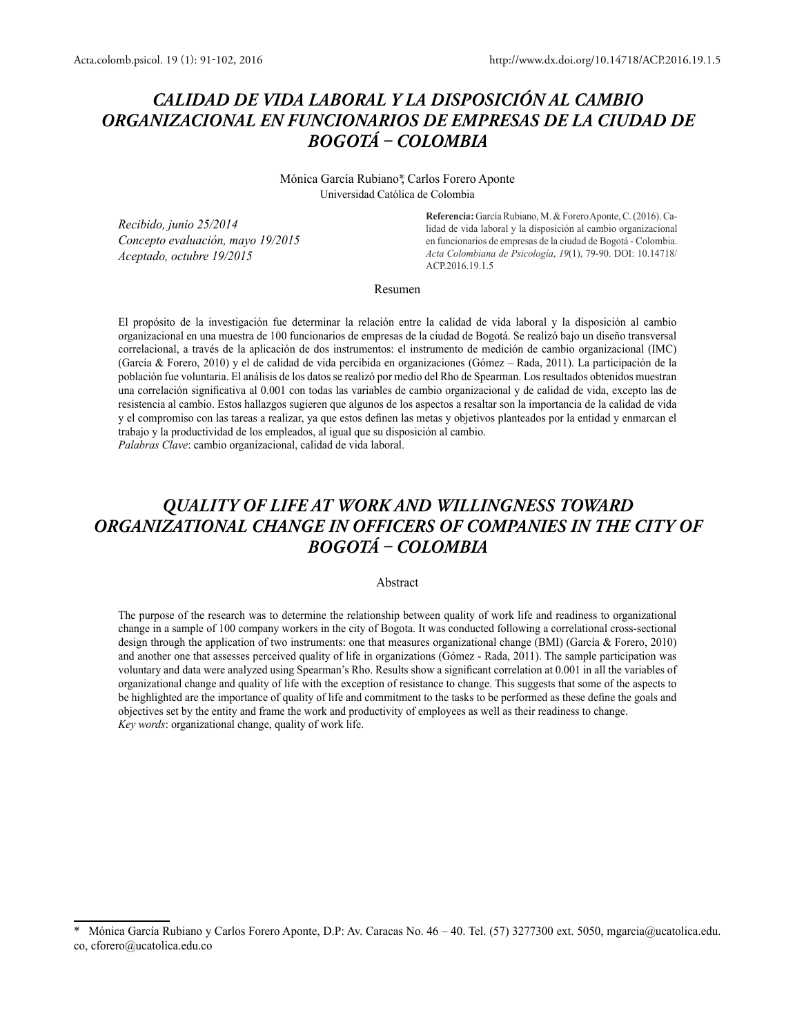# *CALIDAD DE VIDA LABORAL Y LA DISPOSICIÓN AL CAMBIO ORGANIZACIONAL EN FUNCIONARIOS DE EMPRESAS DE LA CIUDAD DE BOGOTÁ – COLOMBIA*

Mónica García Rubiano\*, Carlos Forero Aponte 1 Universidad Católica de Colombia

*Recibido, junio 25/2014 Concepto evaluación, mayo 19/2015 Aceptado, octubre 19/2015*

**Referencia:** García Rubiano, M. & Forero Aponte, C. (2016).Calidad de vida laboral y la disposición al cambio organizacional en funcionarios de empresas de la ciudad de Bogotá - Colombia. *Acta Colombiana de Psicología*, *19*(1), 79-90. DOI: 10.14718/ ACP.2016.19.1.5

#### Resumen

El propósito de la investigación fue determinar la relación entre la calidad de vida laboral y la disposición al cambio organizacional en una muestra de 100 funcionarios de empresas de la ciudad de Bogotá. Se realizó bajo un diseño transversal correlacional, a través de la aplicación de dos instrumentos: el instrumento de medición de cambio organizacional (IMC) (García & Forero, 2010) y el de calidad de vida percibida en organizaciones (Gómez – Rada, 2011). La participación de la población fue voluntaria. El análisis de los datos se realizó por medio del Rho de Spearman. Los resultados obtenidos muestran una correlación significativa al 0.001 con todas las variables de cambio organizacional y de calidad de vida, excepto las de resistencia al cambio. Estos hallazgos sugieren que algunos de los aspectos a resaltar son la importancia de la calidad de vida y el compromiso con las tareas a realizar, ya que estos definen las metas y objetivos planteados por la entidad y enmarcan el trabajo y la productividad de los empleados, al igual que su disposición al cambio. *Palabras Clave*: cambio organizacional, calidad de vida laboral.

## *QUALITY OF LIFE AT WORK AND WILLINGNESS TOWARD ORGANIZATIONAL CHANGE IN OFFICERS OF COMPANIES IN THE CITY OF BOGOTÁ – COLOMBIA*

#### Abstract

The purpose of the research was to determine the relationship between quality of work life and readiness to organizational change in a sample of 100 company workers in the city of Bogota. It was conducted following a correlational cross-sectional design through the application of two instruments: one that measures organizational change (BMI) (García & Forero, 2010) and another one that assesses perceived quality of life in organizations (Gómez - Rada, 2011). The sample participation was voluntary and data were analyzed using Spearman's Rho. Results show a significant correlation at 0.001 in all the variables of organizational change and quality of life with the exception of resistance to change. This suggests that some of the aspects to be highlighted are the importance of quality of life and commitment to the tasks to be performed as these define the goals and objectives set by the entity and frame the work and productivity of employees as well as their readiness to change. *Key words*: organizational change, quality of work life.

<sup>\*</sup> Mónica García Rubiano y Carlos Forero Aponte, D.P: Av. Caracas No. 46 – 40. Tel. (57) 3277300 ext. 5050, mgarcia@ucatolica.edu. co, cforero@ucatolica.edu.co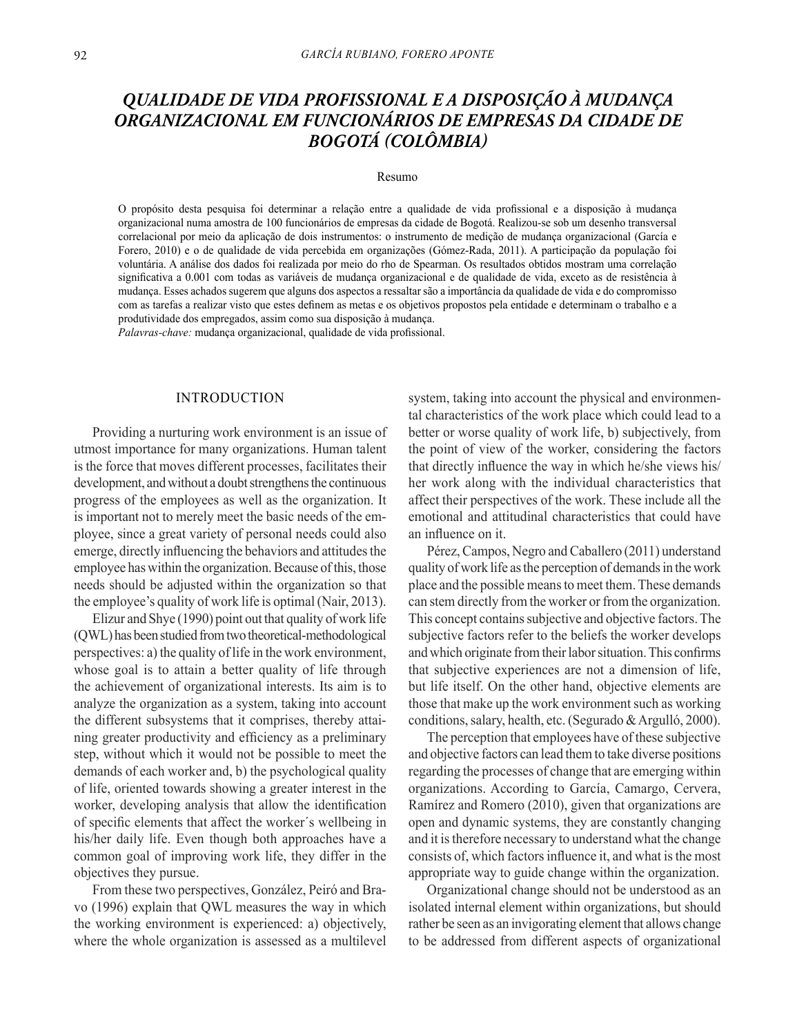# *QUALIDADE DE VIDA PROFISSIONAL E A DISPOSIÇÃO À MUDANÇA ORGANIZACIONAL EM FUNCIONÁRIOS DE EMPRESAS DA CIDADE DE BOGOTÁ (COLÔMBIA)*

#### Resumo

O propósito desta pesquisa foi determinar a relação entre a qualidade de vida profissional e a disposição à mudança organizacional numa amostra de 100 funcionários de empresas da cidade de Bogotá. Realizou-se sob um desenho transversal correlacional por meio da aplicação de dois instrumentos: o instrumento de medição de mudança organizacional (García e Forero, 2010) e o de qualidade de vida percebida em organizações (Gómez-Rada, 2011). A participação da população foi voluntária. A análise dos dados foi realizada por meio do rho de Spearman. Os resultados obtidos mostram uma correlação significativa a 0.001 com todas as variáveis de mudança organizacional e de qualidade de vida, exceto as de resistência à mudança. Esses achados sugerem que alguns dos aspectos a ressaltar são a importância da qualidade de vida e do compromisso com as tarefas a realizar visto que estes definem as metas e os objetivos propostos pela entidade e determinam o trabalho e a produtividade dos empregados, assim como sua disposição à mudança.

*Palavras-chave:* mudança organizacional, qualidade de vida profissional.

### INTRODUCTION

Providing a nurturing work environment is an issue of utmost importance for many organizations. Human talent is the force that moves different processes, facilitates their development, and without a doubt strengthens the continuous progress of the employees as well as the organization. It is important not to merely meet the basic needs of the employee, since a great variety of personal needs could also emerge, directly influencing the behaviors and attitudes the employee has within the organization. Because of this, those needs should be adjusted within the organization so that the employee's quality of work life is optimal (Nair, 2013).

Elizur and Shye (1990) point out that quality of work life (QWL) has been studied from two theoretical-methodological perspectives: a) the quality of life in the work environment, whose goal is to attain a better quality of life through the achievement of organizational interests. Its aim is to analyze the organization as a system, taking into account the different subsystems that it comprises, thereby attaining greater productivity and efficiency as a preliminary step, without which it would not be possible to meet the demands of each worker and, b) the psychological quality of life, oriented towards showing a greater interest in the worker, developing analysis that allow the identification of specific elements that affect the worker´s wellbeing in his/her daily life. Even though both approaches have a common goal of improving work life, they differ in the objectives they pursue.

From these two perspectives, González, Peiró and Bravo (1996) explain that QWL measures the way in which the working environment is experienced: a) objectively, where the whole organization is assessed as a multilevel system, taking into account the physical and environmental characteristics of the work place which could lead to a better or worse quality of work life, b) subjectively, from the point of view of the worker, considering the factors that directly influence the way in which he/she views his/ her work along with the individual characteristics that affect their perspectives of the work. These include all the emotional and attitudinal characteristics that could have an influence on it.

Pérez, Campos, Negro and Caballero (2011) understand quality of work life as the perception of demands in the work place and the possible means to meet them. These demands can stem directly from the worker or from the organization. This concept contains subjective and objective factors. The subjective factors refer to the beliefs the worker develops and which originate from their labor situation. This confirms that subjective experiences are not a dimension of life, but life itself. On the other hand, objective elements are those that make up the work environment such as working conditions, salary, health, etc. (Segurado & Argulló, 2000).

The perception that employees have of these subjective and objective factors can lead them to take diverse positions regarding the processes of change that are emerging within organizations. According to García, Camargo, Cervera, Ramírez and Romero (2010), given that organizations are open and dynamic systems, they are constantly changing and it is therefore necessary to understand what the change consists of, which factors influence it, and what is the most appropriate way to guide change within the organization.

Organizational change should not be understood as an isolated internal element within organizations, but should rather be seen as an invigorating element that allows change to be addressed from different aspects of organizational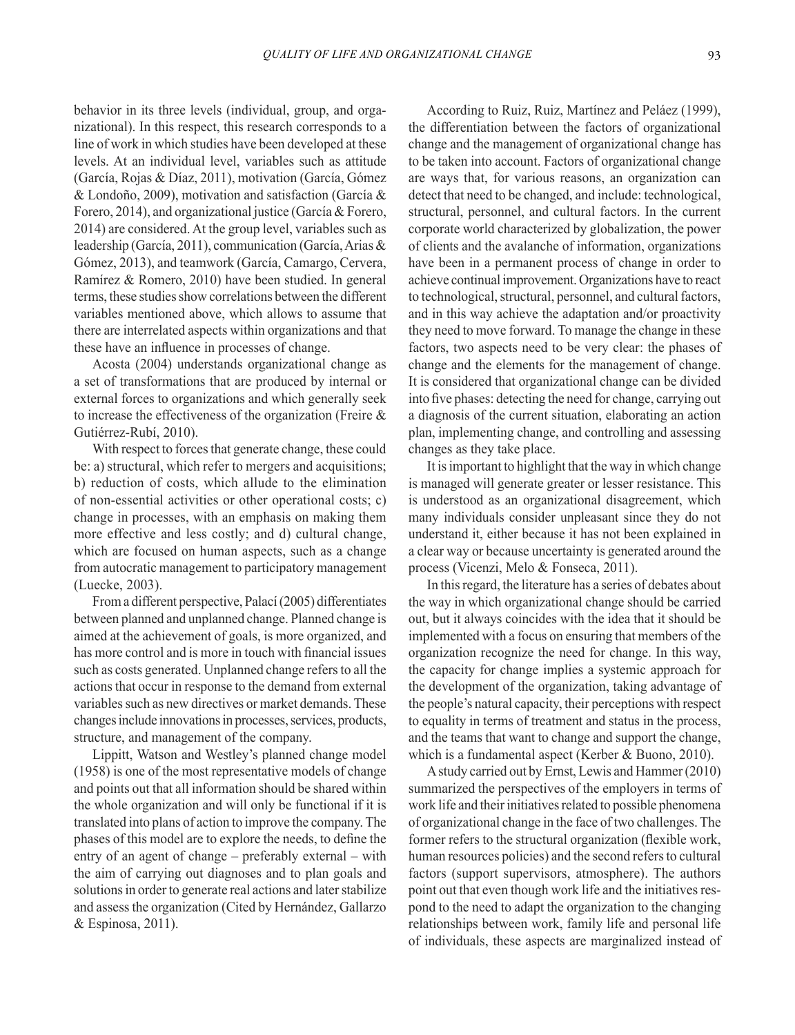behavior in its three levels (individual, group, and organizational). In this respect, this research corresponds to a line of work in which studies have been developed at these levels. At an individual level, variables such as attitude (García, Rojas & Díaz, 2011), motivation (García, Gómez & Londoño, 2009), motivation and satisfaction (García & Forero, 2014), and organizational justice (García & Forero, 2014) are considered. At the group level, variables such as leadership (García, 2011), communication (García, Arias & Gómez, 2013), and teamwork (García, Camargo, Cervera, Ramírez & Romero, 2010) have been studied. In general terms, these studies show correlations between the different variables mentioned above, which allows to assume that there are interrelated aspects within organizations and that these have an influence in processes of change.

Acosta (2004) understands organizational change as a set of transformations that are produced by internal or external forces to organizations and which generally seek to increase the effectiveness of the organization (Freire & Gutiérrez-Rubí, 2010).

With respect to forces that generate change, these could be: a) structural, which refer to mergers and acquisitions; b) reduction of costs, which allude to the elimination of non-essential activities or other operational costs; c) change in processes, with an emphasis on making them more effective and less costly; and d) cultural change, which are focused on human aspects, such as a change from autocratic management to participatory management (Luecke, 2003).

From a different perspective, Palací (2005) differentiates between planned and unplanned change. Planned change is aimed at the achievement of goals, is more organized, and has more control and is more in touch with financial issues such as costs generated. Unplanned change refers to all the actions that occur in response to the demand from external variables such as new directives or market demands. These changes include innovations in processes, services, products, structure, and management of the company.

Lippitt, Watson and Westley's planned change model (1958) is one of the most representative models of change and points out that all information should be shared within the whole organization and will only be functional if it is translated into plans of action to improve the company. The phases of this model are to explore the needs, to define the entry of an agent of change – preferably external – with the aim of carrying out diagnoses and to plan goals and solutions in order to generate real actions and later stabilize and assess the organization (Cited by Hernández, Gallarzo & Espinosa, 2011).

According to Ruiz, Ruiz, Martínez and Peláez (1999), the differentiation between the factors of organizational change and the management of organizational change has to be taken into account. Factors of organizational change are ways that, for various reasons, an organization can detect that need to be changed, and include: technological, structural, personnel, and cultural factors. In the current corporate world characterized by globalization, the power of clients and the avalanche of information, organizations have been in a permanent process of change in order to achieve continual improvement. Organizations have to react to technological, structural, personnel, and cultural factors, and in this way achieve the adaptation and/or proactivity they need to move forward. To manage the change in these factors, two aspects need to be very clear: the phases of change and the elements for the management of change. It is considered that organizational change can be divided into five phases: detecting the need for change, carrying out a diagnosis of the current situation, elaborating an action plan, implementing change, and controlling and assessing changes as they take place.

It is important to highlight that the way in which change is managed will generate greater or lesser resistance. This is understood as an organizational disagreement, which many individuals consider unpleasant since they do not understand it, either because it has not been explained in a clear way or because uncertainty is generated around the process (Vicenzi, Melo & Fonseca, 2011).

In this regard, the literature has a series of debates about the way in which organizational change should be carried out, but it always coincides with the idea that it should be implemented with a focus on ensuring that members of the organization recognize the need for change. In this way, the capacity for change implies a systemic approach for the development of the organization, taking advantage of the people's natural capacity, their perceptions with respect to equality in terms of treatment and status in the process, and the teams that want to change and support the change, which is a fundamental aspect (Kerber & Buono, 2010).

A study carried out by Ernst, Lewis and Hammer (2010) summarized the perspectives of the employers in terms of work life and their initiatives related to possible phenomena of organizational change in the face of two challenges. The former refers to the structural organization (flexible work, human resources policies) and the second refers to cultural factors (support supervisors, atmosphere). The authors point out that even though work life and the initiatives respond to the need to adapt the organization to the changing relationships between work, family life and personal life of individuals, these aspects are marginalized instead of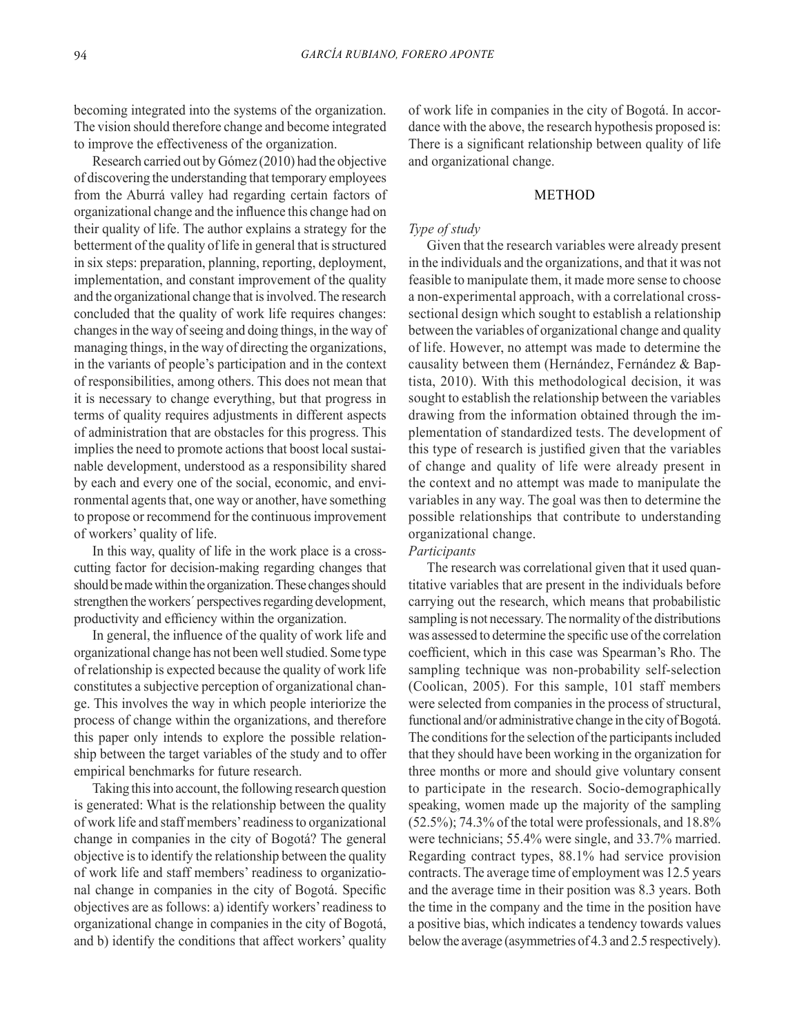becoming integrated into the systems of the organization. The vision should therefore change and become integrated to improve the effectiveness of the organization.

Research carried out by Gómez (2010) had the objective of discovering the understanding that temporary employees from the Aburrá valley had regarding certain factors of organizational change and the influence this change had on their quality of life. The author explains a strategy for the betterment of the quality of life in general that is structured in six steps: preparation, planning, reporting, deployment, implementation, and constant improvement of the quality and the organizational change that is involved. The research concluded that the quality of work life requires changes: changes in the way of seeing and doing things, in the way of managing things, in the way of directing the organizations, in the variants of people's participation and in the context of responsibilities, among others. This does not mean that it is necessary to change everything, but that progress in terms of quality requires adjustments in different aspects of administration that are obstacles for this progress. This implies the need to promote actions that boost local sustainable development, understood as a responsibility shared by each and every one of the social, economic, and environmental agents that, one way or another, have something to propose or recommend for the continuous improvement of workers' quality of life.

In this way, quality of life in the work place is a crosscutting factor for decision-making regarding changes that should be made within the organization. These changes should strengthen the workers´ perspectives regarding development, productivity and efficiency within the organization.

In general, the influence of the quality of work life and organizational change has not been well studied. Some type of relationship is expected because the quality of work life constitutes a subjective perception of organizational change. This involves the way in which people interiorize the process of change within the organizations, and therefore this paper only intends to explore the possible relationship between the target variables of the study and to offer empirical benchmarks for future research.

Taking this into account, the following research question is generated: What is the relationship between the quality of work life and staff members' readiness to organizational change in companies in the city of Bogotá? The general objective is to identify the relationship between the quality of work life and staff members' readiness to organizational change in companies in the city of Bogotá. Specific objectives are as follows: a) identify workers' readiness to organizational change in companies in the city of Bogotá, and b) identify the conditions that affect workers' quality of work life in companies in the city of Bogotá. In accordance with the above, the research hypothesis proposed is: There is a significant relationship between quality of life and organizational change.

## **METHOD**

## *Type of study*

Given that the research variables were already present in the individuals and the organizations, and that it was not feasible to manipulate them, it made more sense to choose a non-experimental approach, with a correlational crosssectional design which sought to establish a relationship between the variables of organizational change and quality of life. However, no attempt was made to determine the causality between them (Hernández, Fernández & Baptista, 2010). With this methodological decision, it was sought to establish the relationship between the variables drawing from the information obtained through the implementation of standardized tests. The development of this type of research is justified given that the variables of change and quality of life were already present in the context and no attempt was made to manipulate the variables in any way. The goal was then to determine the possible relationships that contribute to understanding organizational change.

#### *Participants*

The research was correlational given that it used quantitative variables that are present in the individuals before carrying out the research, which means that probabilistic sampling is not necessary. The normality of the distributions was assessed to determine the specific use of the correlation coefficient, which in this case was Spearman's Rho. The sampling technique was non-probability self-selection (Coolican, 2005). For this sample, 101 staff members were selected from companies in the process of structural, functional and/or administrative change in the city of Bogotá. The conditions for the selection of the participants included that they should have been working in the organization for three months or more and should give voluntary consent to participate in the research. Socio-demographically speaking, women made up the majority of the sampling (52.5%); 74.3% of the total were professionals, and 18.8% were technicians; 55.4% were single, and 33.7% married. Regarding contract types, 88.1% had service provision contracts. The average time of employment was 12.5 years and the average time in their position was 8.3 years. Both the time in the company and the time in the position have a positive bias, which indicates a tendency towards values below the average (asymmetries of 4.3 and 2.5 respectively).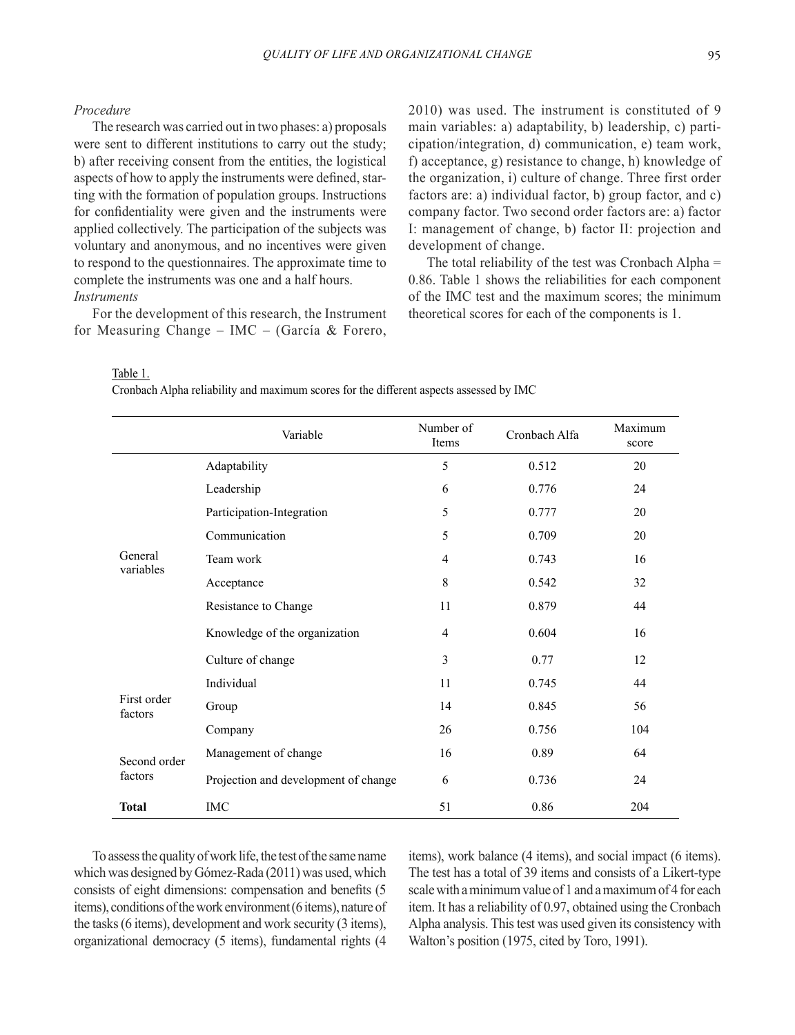## *Procedure*

The research was carried out in two phases: a) proposals were sent to different institutions to carry out the study; b) after receiving consent from the entities, the logistical aspects of how to apply the instruments were defined, starting with the formation of population groups. Instructions for confidentiality were given and the instruments were applied collectively. The participation of the subjects was voluntary and anonymous, and no incentives were given to respond to the questionnaires. The approximate time to complete the instruments was one and a half hours. *Instruments*

For the development of this research, the Instrument for Measuring Change – IMC – (García & Forero,

2010) was used. The instrument is constituted of 9 main variables: a) adaptability, b) leadership, c) participation/integration, d) communication, e) team work, f) acceptance, g) resistance to change, h) knowledge of the organization, i) culture of change. Three first order factors are: a) individual factor, b) group factor, and c) company factor. Two second order factors are: a) factor I: management of change, b) factor II: projection and development of change.

The total reliability of the test was Cronbach Alpha = 0.86. Table 1 shows the reliabilities for each component of the IMC test and the maximum scores; the minimum theoretical scores for each of the components is 1.

Table 1.

Cronbach Alpha reliability and maximum scores for the different aspects assessed by IMC

|                         | Variable                             | Number of<br>Items | Cronbach Alfa | Maximum<br>score |
|-------------------------|--------------------------------------|--------------------|---------------|------------------|
|                         | Adaptability                         | 5                  | 0.512         | 20               |
|                         | Leadership                           | 6                  | 0.776         | 24               |
|                         | Participation-Integration            | 5                  | 0.777         | 20               |
|                         | Communication                        | 5                  | 0.709         | 20               |
| General<br>variables    | Team work                            | $\overline{4}$     | 0.743         | 16               |
|                         | Acceptance                           | $8\,$              | 0.542         | 32               |
|                         | Resistance to Change                 | 11                 | 0.879         | 44               |
|                         | Knowledge of the organization        | $\overline{4}$     | 0.604         | 16               |
|                         | Culture of change                    | 3                  | 0.77          | 12               |
|                         | Individual                           | 11                 | 0.745         | 44               |
| First order<br>factors  | Group                                | 14                 | 0.845         | 56               |
|                         | Company                              | 26                 | 0.756         | 104              |
| Second order<br>factors | Management of change                 | 16                 | 0.89          | 64               |
|                         | Projection and development of change | 6                  | 0.736         | 24               |
| <b>Total</b>            | <b>IMC</b>                           | 51                 | 0.86          | 204              |

To assess the quality of work life, the test of the same name which was designed by Gómez-Rada (2011) was used, which consists of eight dimensions: compensation and benefits (5 items), conditions of the work environment (6 items), nature of the tasks (6 items), development and work security (3 items), organizational democracy (5 items), fundamental rights (4 items), work balance (4 items), and social impact (6 items). The test has a total of 39 items and consists of a Likert-type scale with a minimum value of 1 and a maximum of 4 for each item. It has a reliability of 0.97, obtained using the Cronbach Alpha analysis. This test was used given its consistency with Walton's position (1975, cited by Toro, 1991).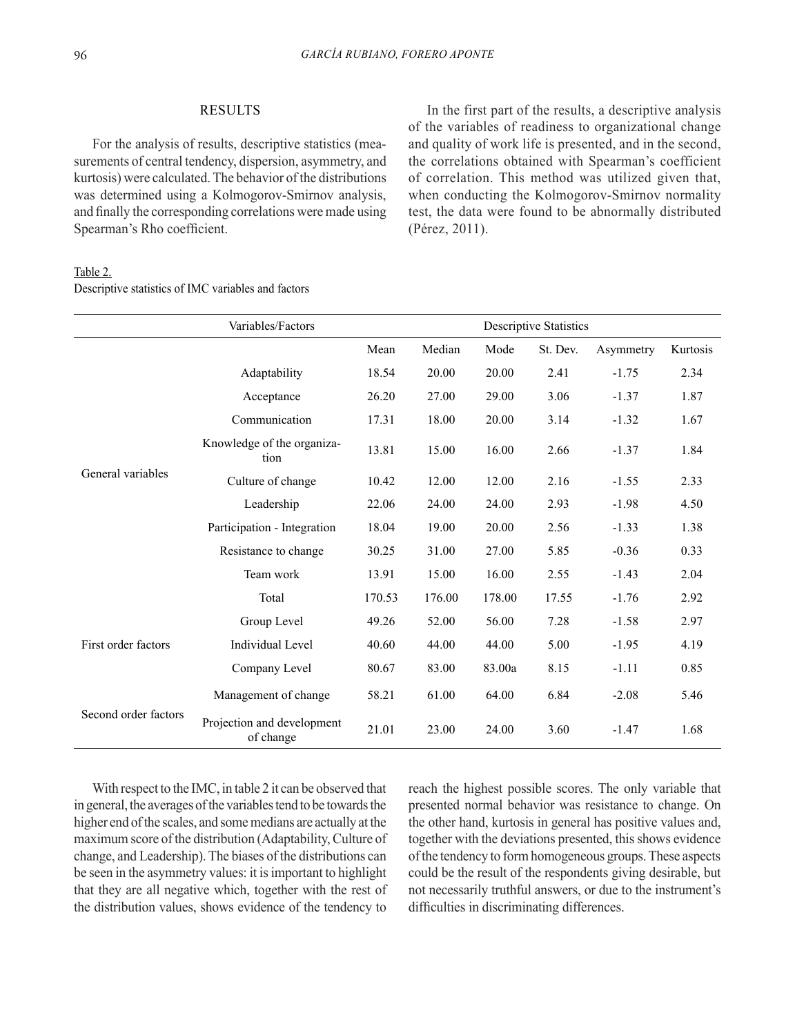## RESULTS

For the analysis of results, descriptive statistics (measurements of central tendency, dispersion, asymmetry, and kurtosis) were calculated. The behavior of the distributions was determined using a Kolmogorov-Smirnov analysis, and finally the corresponding correlations were made using Spearman's Rho coefficient.

of the variables of readiness to organizational change and quality of work life is presented, and in the second, the correlations obtained with Spearman's coefficient of correlation. This method was utilized given that, when conducting the Kolmogorov-Smirnov normality test, the data were found to be abnormally distributed (Pérez, 2011).

In the first part of the results, a descriptive analysis

#### Table 2.

Descriptive statistics of IMC variables and factors

|                      | Variables/Factors                       |        |        |        | <b>Descriptive Statistics</b> |           |          |
|----------------------|-----------------------------------------|--------|--------|--------|-------------------------------|-----------|----------|
|                      |                                         | Mean   | Median | Mode   | St. Dev.                      | Asymmetry | Kurtosis |
|                      | Adaptability                            | 18.54  | 20.00  | 20.00  | 2.41                          | $-1.75$   | 2.34     |
|                      | Acceptance                              | 26.20  | 27.00  | 29.00  | 3.06                          | $-1.37$   | 1.87     |
|                      | Communication                           | 17.31  | 18.00  | 20.00  | 3.14                          | $-1.32$   | 1.67     |
|                      | Knowledge of the organiza-<br>tion      | 13.81  | 15.00  | 16.00  | 2.66                          | $-1.37$   | 1.84     |
| General variables    | Culture of change                       | 10.42  | 12.00  | 12.00  | 2.16                          | $-1.55$   | 2.33     |
|                      | Leadership                              | 22.06  | 24.00  | 24.00  | 2.93                          | $-1.98$   | 4.50     |
|                      | Participation - Integration             | 18.04  | 19.00  | 20.00  | 2.56                          | $-1.33$   | 1.38     |
|                      | Resistance to change                    | 30.25  | 31.00  | 27.00  | 5.85                          | $-0.36$   | 0.33     |
|                      | Team work                               | 13.91  | 15.00  | 16.00  | 2.55                          | $-1.43$   | 2.04     |
|                      | Total                                   | 170.53 | 176.00 | 178.00 | 17.55                         | $-1.76$   | 2.92     |
|                      | Group Level                             | 49.26  | 52.00  | 56.00  | 7.28                          | $-1.58$   | 2.97     |
| First order factors  | Individual Level                        | 40.60  | 44.00  | 44.00  | 5.00                          | $-1.95$   | 4.19     |
|                      | Company Level                           | 80.67  | 83.00  | 83.00a | 8.15                          | $-1.11$   | 0.85     |
|                      | Management of change                    | 58.21  | 61.00  | 64.00  | 6.84                          | $-2.08$   | 5.46     |
| Second order factors | Projection and development<br>of change | 21.01  | 23.00  | 24.00  | 3.60                          | $-1.47$   | 1.68     |

With respect to the IMC, in table 2 it can be observed that in general, the averages of the variables tend to be towards the higher end of the scales, and some medians are actually at the maximum score of the distribution (Adaptability, Culture of change, and Leadership). The biases of the distributions can be seen in the asymmetry values: it is important to highlight that they are all negative which, together with the rest of the distribution values, shows evidence of the tendency to reach the highest possible scores. The only variable that presented normal behavior was resistance to change. On the other hand, kurtosis in general has positive values and, together with the deviations presented, this shows evidence of the tendency to form homogeneous groups. These aspects could be the result of the respondents giving desirable, but not necessarily truthful answers, or due to the instrument's difficulties in discriminating differences.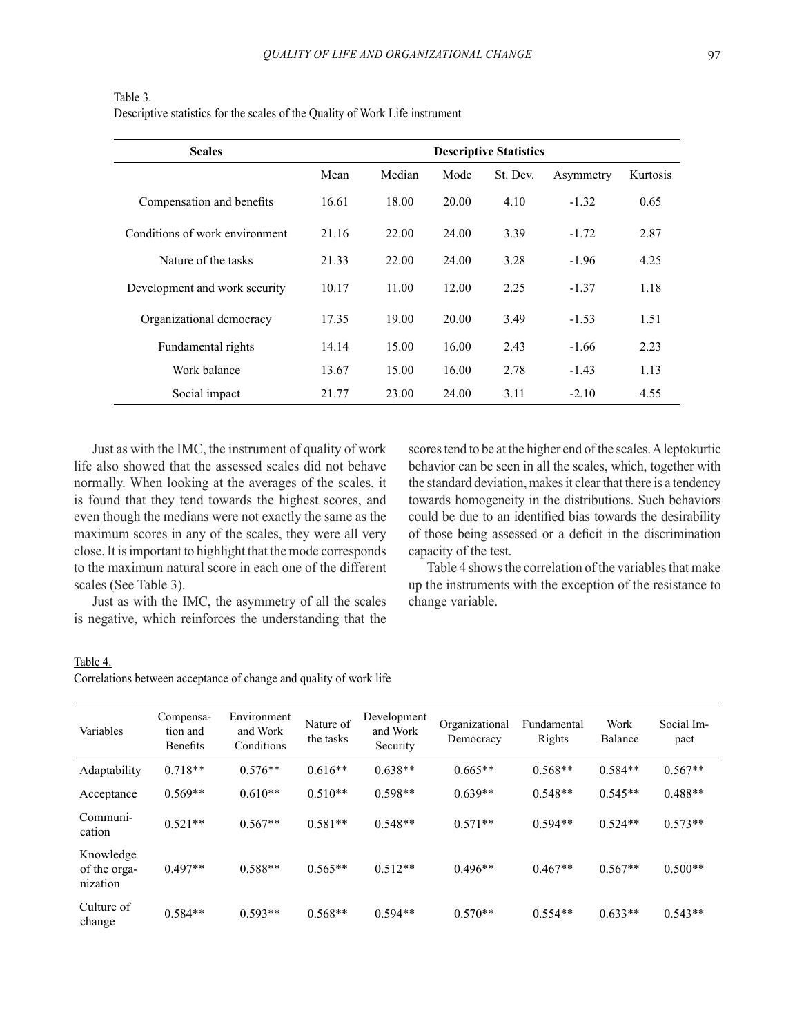| <b>Scales</b>                  | <b>Descriptive Statistics</b> |        |       |          |           |          |  |  |
|--------------------------------|-------------------------------|--------|-------|----------|-----------|----------|--|--|
|                                | Mean                          | Median | Mode  | St. Dev. | Asymmetry | Kurtosis |  |  |
| Compensation and benefits      | 16.61                         | 18.00  | 20.00 | 4.10     | $-1.32$   | 0.65     |  |  |
| Conditions of work environment | 21.16                         | 22.00  | 24.00 | 3.39     | $-1.72$   | 2.87     |  |  |
| Nature of the tasks            | 21.33                         | 22.00  | 24.00 | 3.28     | $-1.96$   | 4.25     |  |  |
| Development and work security  | 10.17                         | 11.00  | 12.00 | 2.25     | $-1.37$   | 1.18     |  |  |
| Organizational democracy       | 17.35                         | 19.00  | 20.00 | 3.49     | $-1.53$   | 1.51     |  |  |
| Fundamental rights             | 14.14                         | 15.00  | 16.00 | 2.43     | $-1.66$   | 2.23     |  |  |
| Work balance                   | 13.67                         | 15.00  | 16.00 | 2.78     | $-1.43$   | 1.13     |  |  |
| Social impact                  | 21.77                         | 23.00  | 24.00 | 3.11     | $-2.10$   | 4.55     |  |  |

Table 3. Descriptive statistics for the scales of the Quality of Work Life instrument

Just as with the IMC, the instrument of quality of work life also showed that the assessed scales did not behave normally. When looking at the averages of the scales, it is found that they tend towards the highest scores, and even though the medians were not exactly the same as the maximum scores in any of the scales, they were all very close. It is important to highlight that the mode corresponds to the maximum natural score in each one of the different scales (See Table 3).

Just as with the IMC, the asymmetry of all the scales is negative, which reinforces the understanding that the scores tend to be at the higher end of the scales. A leptokurtic behavior can be seen in all the scales, which, together with the standard deviation, makes it clear that there is a tendency towards homogeneity in the distributions. Such behaviors could be due to an identified bias towards the desirability of those being assessed or a deficit in the discrimination capacity of the test.

Table 4 shows the correlation of the variables that make up the instruments with the exception of the resistance to change variable.

#### Table 4.

| $10010 - 1.$ |                                                                    |  |
|--------------|--------------------------------------------------------------------|--|
|              | Correlations between acceptance of change and quality of work life |  |

| Variables                             | Compensa-<br>tion and<br><b>Benefits</b> | Environment<br>and Work<br>Conditions | Nature of<br>the tasks | Development<br>and Work<br>Security | Organizational<br>Democracy | Fundamental<br>Rights | Work<br>Balance | Social Im-<br>pact |
|---------------------------------------|------------------------------------------|---------------------------------------|------------------------|-------------------------------------|-----------------------------|-----------------------|-----------------|--------------------|
| Adaptability                          | $0.718**$                                | $0.576**$                             | $0.616**$              | $0.638**$                           | $0.665**$                   | $0.568**$             | $0.584**$       | $0.567**$          |
| Acceptance                            | $0.569**$                                | $0.610**$                             | $0.510**$              | $0.598**$                           | $0.639**$                   | $0.548**$             | $0.545**$       | $0.488**$          |
| Communi-<br>cation                    | $0.521**$                                | $0.567**$                             | $0.581**$              | $0.548**$                           | $0.571**$                   | $0.594**$             | $0.524**$       | $0.573**$          |
| Knowledge<br>of the orga-<br>nization | $0.497**$                                | $0.588**$                             | $0.565**$              | $0.512**$                           | $0.496**$                   | $0.467**$             | $0.567**$       | $0.500**$          |
| Culture of<br>change                  | $0.584**$                                | $0.593**$                             | $0.568**$              | $0.594**$                           | $0.570**$                   | $0.554**$             | $0.633**$       | $0.543**$          |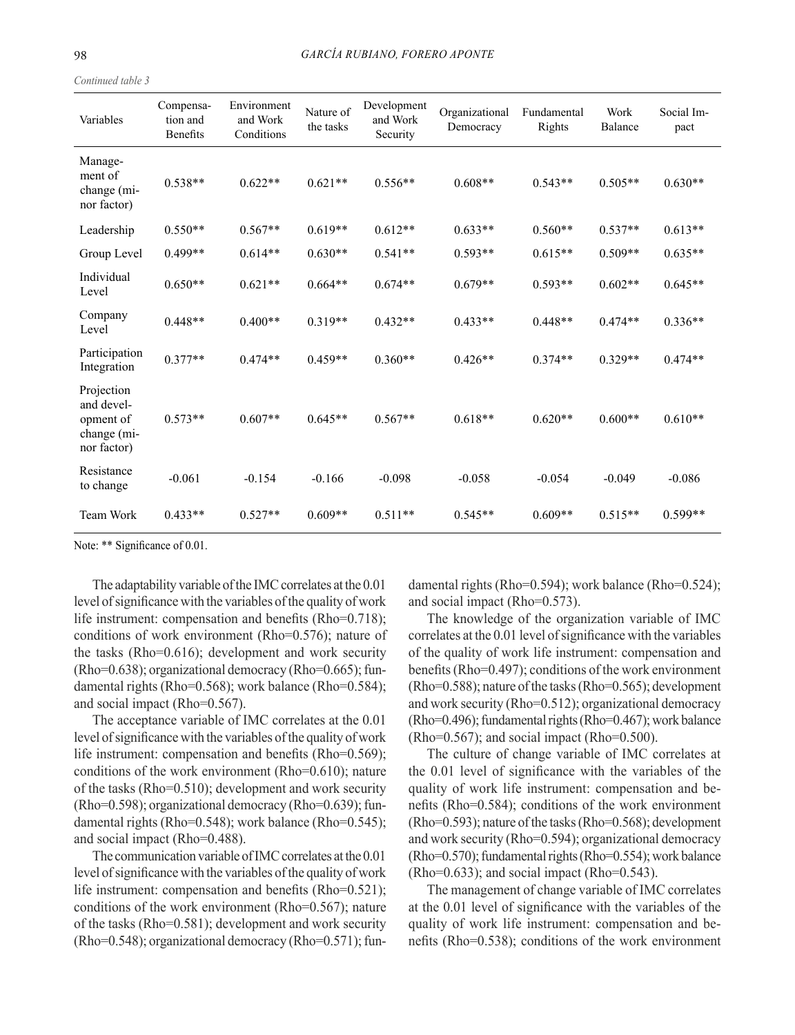| Variables                                                           | Compensa-<br>tion and<br><b>Benefits</b> | Environment<br>and Work<br>Conditions | Nature of<br>the tasks | Development<br>and Work<br>Security | Organizational<br>Democracy | Fundamental<br>Rights | Work<br>Balance | Social Im-<br>pact |
|---------------------------------------------------------------------|------------------------------------------|---------------------------------------|------------------------|-------------------------------------|-----------------------------|-----------------------|-----------------|--------------------|
| Manage-<br>ment of<br>change (mi-<br>nor factor)                    | $0.538**$                                | $0.622**$                             | $0.621**$              | $0.556**$                           | $0.608**$                   | $0.543**$             | $0.505**$       | $0.630**$          |
| Leadership                                                          | $0.550**$                                | $0.567**$                             | $0.619**$              | $0.612**$                           | $0.633**$                   | $0.560**$             | $0.537**$       | $0.613**$          |
| Group Level                                                         | $0.499**$                                | $0.614**$                             | $0.630**$              | $0.541**$                           | $0.593**$                   | $0.615**$             | $0.509**$       | $0.635**$          |
| Individual<br>Level                                                 | $0.650**$                                | $0.621**$                             | $0.664**$              | $0.674**$                           | $0.679**$                   | $0.593**$             | $0.602**$       | $0.645**$          |
| Company<br>Level                                                    | $0.448**$                                | $0.400**$                             | $0.319**$              | $0.432**$                           | $0.433**$                   | $0.448**$             | $0.474**$       | $0.336**$          |
| Participation<br>Integration                                        | $0.377**$                                | $0.474**$                             | $0.459**$              | $0.360**$                           | $0.426**$                   | $0.374**$             | $0.329**$       | $0.474**$          |
| Projection<br>and devel-<br>opment of<br>change (mi-<br>nor factor) | $0.573**$                                | $0.607**$                             | $0.645**$              | $0.567**$                           | $0.618**$                   | $0.620**$             | $0.600**$       | $0.610**$          |

to change -0.061 -0.154 -0.166 -0.098 -0.058 -0.054 -0.049 -0.086

Team Work 0.433\*\* 0.527\*\* 0.609\*\* 0.511\*\* 0.545\*\* 0.609\*\* 0.515\*\* 0.599\*\*

*Continued table 3*

Note: \*\* Significance of 0.01.

Resistance

The adaptability variable of the IMC correlates at the 0.01 level of significance with the variables of the quality of work life instrument: compensation and benefits (Rho=0.718); conditions of work environment (Rho=0.576); nature of the tasks (Rho=0.616); development and work security (Rho=0.638); organizational democracy (Rho=0.665); fundamental rights (Rho=0.568); work balance (Rho=0.584); and social impact (Rho=0.567).

The acceptance variable of IMC correlates at the 0.01 level of significance with the variables of the quality of work life instrument: compensation and benefits (Rho=0.569); conditions of the work environment (Rho=0.610); nature of the tasks (Rho=0.510); development and work security (Rho=0.598); organizational democracy (Rho=0.639); fundamental rights (Rho=0.548); work balance (Rho=0.545); and social impact (Rho=0.488).

The communication variable of IMC correlates at the 0.01 level of significance with the variables of the quality of work life instrument: compensation and benefits (Rho=0.521); conditions of the work environment (Rho=0.567); nature of the tasks (Rho=0.581); development and work security (Rho=0.548); organizational democracy (Rho=0.571); fundamental rights (Rho=0.594); work balance (Rho=0.524); and social impact (Rho=0.573).

The knowledge of the organization variable of IMC correlates at the 0.01 level of significance with the variables of the quality of work life instrument: compensation and benefits (Rho=0.497); conditions of the work environment (Rho=0.588); nature of the tasks (Rho=0.565); development and work security (Rho=0.512); organizational democracy (Rho=0.496); fundamental rights (Rho=0.467); work balance  $(Rho=0.567)$ ; and social impact  $(Rho=0.500)$ .

The culture of change variable of IMC correlates at the 0.01 level of significance with the variables of the quality of work life instrument: compensation and benefits (Rho=0.584); conditions of the work environment (Rho=0.593); nature of the tasks (Rho=0.568); development and work security (Rho=0.594); organizational democracy (Rho=0.570); fundamental rights (Rho=0.554); work balance  $(Rho=0.633)$ ; and social impact  $(Rho=0.543)$ .

The management of change variable of IMC correlates at the 0.01 level of significance with the variables of the quality of work life instrument: compensation and benefits (Rho=0.538); conditions of the work environment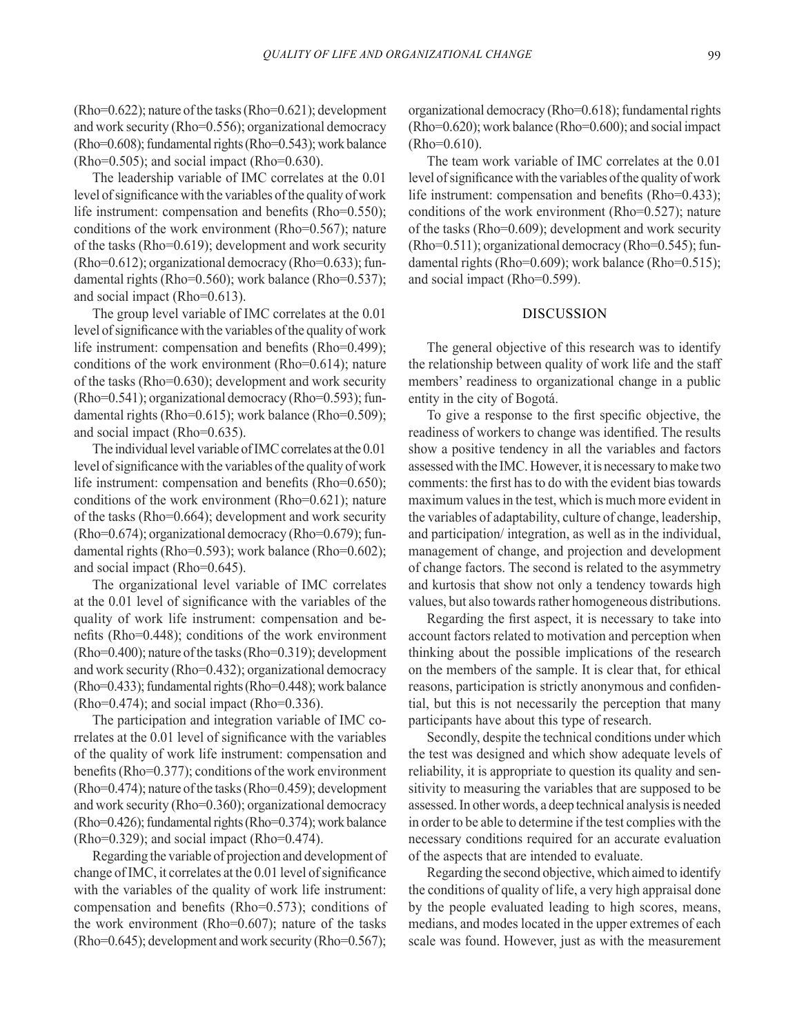(Rho=0.622); nature of the tasks (Rho=0.621); development and work security (Rho=0.556); organizational democracy (Rho=0.608); fundamental rights (Rho=0.543); work balance  $(Rho=0.505)$ ; and social impact  $(Rho=0.630)$ .

The leadership variable of IMC correlates at the 0.01 level of significance with the variables of the quality of work life instrument: compensation and benefits (Rho=0.550); conditions of the work environment (Rho=0.567); nature of the tasks (Rho=0.619); development and work security (Rho=0.612); organizational democracy (Rho=0.633); fundamental rights (Rho=0.560); work balance (Rho=0.537); and social impact (Rho=0.613).

The group level variable of IMC correlates at the 0.01 level of significance with the variables of the quality of work life instrument: compensation and benefits (Rho=0.499); conditions of the work environment (Rho=0.614); nature of the tasks (Rho=0.630); development and work security (Rho=0.541); organizational democracy (Rho=0.593); fundamental rights (Rho=0.615); work balance (Rho=0.509); and social impact (Rho=0.635).

The individual level variable of IMC correlates at the 0.01 level of significance with the variables of the quality of work life instrument: compensation and benefits (Rho=0.650); conditions of the work environment (Rho=0.621); nature of the tasks (Rho=0.664); development and work security (Rho=0.674); organizational democracy (Rho=0.679); fundamental rights (Rho=0.593); work balance (Rho=0.602); and social impact (Rho=0.645).

The organizational level variable of IMC correlates at the 0.01 level of significance with the variables of the quality of work life instrument: compensation and benefits (Rho=0.448); conditions of the work environment (Rho=0.400); nature of the tasks (Rho=0.319); development and work security (Rho=0.432); organizational democracy (Rho=0.433); fundamental rights (Rho=0.448); work balance  $(Rho=0.474)$ ; and social impact  $(Rho=0.336)$ .

The participation and integration variable of IMC correlates at the 0.01 level of significance with the variables of the quality of work life instrument: compensation and benefits (Rho=0.377); conditions of the work environment (Rho=0.474); nature of the tasks (Rho=0.459); development and work security (Rho=0.360); organizational democracy (Rho=0.426); fundamental rights (Rho=0.374); work balance  $(Rho=0.329)$ ; and social impact  $(Rho=0.474)$ .

Regarding the variable of projection and development of change of IMC, it correlates at the 0.01 level of significance with the variables of the quality of work life instrument: compensation and benefits (Rho=0.573); conditions of the work environment (Rho=0.607); nature of the tasks  $(Rho=0.645)$ ; development and work security  $(Rho=0.567)$ ; organizational democracy (Rho=0.618); fundamental rights (Rho=0.620); work balance (Rho=0.600); and social impact (Rho=0.610).

The team work variable of IMC correlates at the 0.01 level of significance with the variables of the quality of work life instrument: compensation and benefits (Rho=0.433); conditions of the work environment (Rho=0.527); nature of the tasks (Rho=0.609); development and work security (Rho=0.511); organizational democracy (Rho=0.545); fundamental rights (Rho=0.609); work balance (Rho=0.515); and social impact (Rho=0.599).

## DISCUSSION

The general objective of this research was to identify the relationship between quality of work life and the staff members' readiness to organizational change in a public entity in the city of Bogotá.

To give a response to the first specific objective, the readiness of workers to change was identified. The results show a positive tendency in all the variables and factors assessed with the IMC. However, it is necessary to make two comments: the first has to do with the evident bias towards maximum values in the test, which is much more evident in the variables of adaptability, culture of change, leadership, and participation/ integration, as well as in the individual, management of change, and projection and development of change factors. The second is related to the asymmetry and kurtosis that show not only a tendency towards high values, but also towards rather homogeneous distributions.

Regarding the first aspect, it is necessary to take into account factors related to motivation and perception when thinking about the possible implications of the research on the members of the sample. It is clear that, for ethical reasons, participation is strictly anonymous and confidential, but this is not necessarily the perception that many participants have about this type of research.

Secondly, despite the technical conditions under which the test was designed and which show adequate levels of reliability, it is appropriate to question its quality and sensitivity to measuring the variables that are supposed to be assessed. In other words, a deep technical analysis is needed in order to be able to determine if the test complies with the necessary conditions required for an accurate evaluation of the aspects that are intended to evaluate.

Regarding the second objective, which aimed to identify the conditions of quality of life, a very high appraisal done by the people evaluated leading to high scores, means, medians, and modes located in the upper extremes of each scale was found. However, just as with the measurement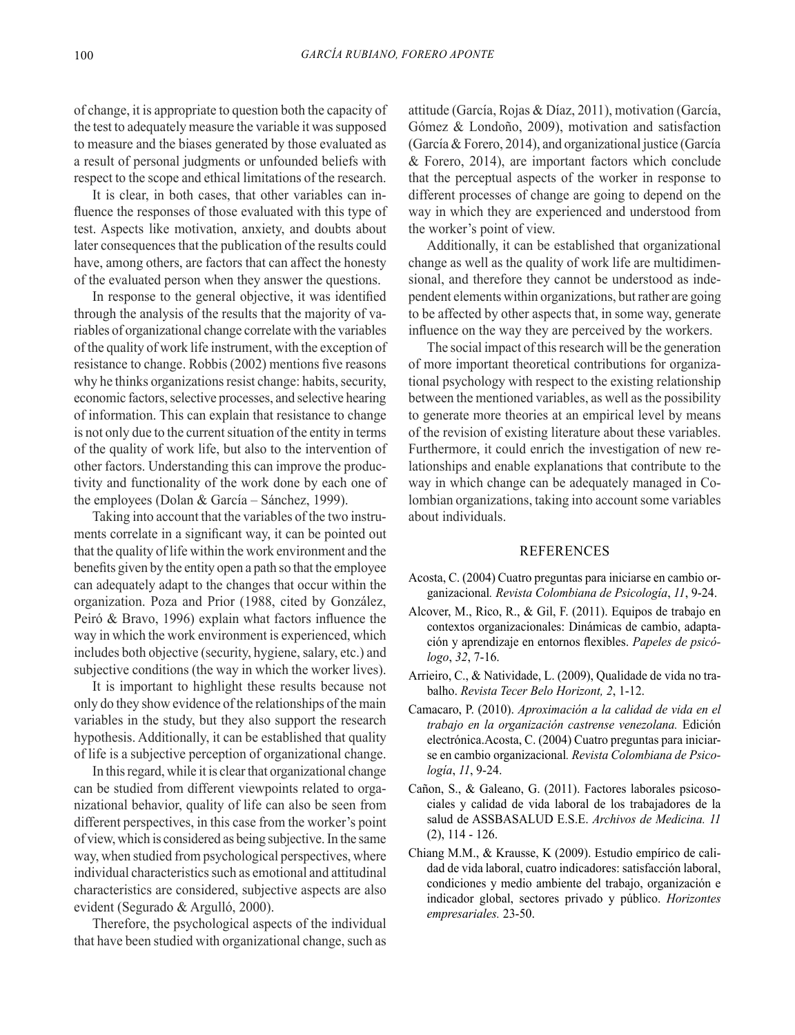of change, it is appropriate to question both the capacity of the test to adequately measure the variable it was supposed to measure and the biases generated by those evaluated as a result of personal judgments or unfounded beliefs with respect to the scope and ethical limitations of the research.

It is clear, in both cases, that other variables can influence the responses of those evaluated with this type of test. Aspects like motivation, anxiety, and doubts about later consequences that the publication of the results could have, among others, are factors that can affect the honesty of the evaluated person when they answer the questions.

In response to the general objective, it was identified through the analysis of the results that the majority of variables of organizational change correlate with the variables of the quality of work life instrument, with the exception of resistance to change. Robbis (2002) mentions five reasons why he thinks organizations resist change: habits, security, economic factors, selective processes, and selective hearing of information. This can explain that resistance to change is not only due to the current situation of the entity in terms of the quality of work life, but also to the intervention of other factors. Understanding this can improve the productivity and functionality of the work done by each one of the employees (Dolan & García – Sánchez, 1999).

Taking into account that the variables of the two instruments correlate in a significant way, it can be pointed out that the quality of life within the work environment and the benefits given by the entity open a path so that the employee can adequately adapt to the changes that occur within the organization. Poza and Prior (1988, cited by González, Peiró & Bravo, 1996) explain what factors influence the way in which the work environment is experienced, which includes both objective (security, hygiene, salary, etc.) and subjective conditions (the way in which the worker lives).

It is important to highlight these results because not only do they show evidence of the relationships of the main variables in the study, but they also support the research hypothesis. Additionally, it can be established that quality of life is a subjective perception of organizational change.

In this regard, while it is clear that organizational change can be studied from different viewpoints related to organizational behavior, quality of life can also be seen from different perspectives, in this case from the worker's point of view, which is considered as being subjective. In the same way, when studied from psychological perspectives, where individual characteristics such as emotional and attitudinal characteristics are considered, subjective aspects are also evident (Segurado & Argulló, 2000).

Therefore, the psychological aspects of the individual that have been studied with organizational change, such as attitude (García, Rojas & Díaz, 2011), motivation (García, Gómez & Londoño, 2009), motivation and satisfaction (García & Forero, 2014), and organizational justice (García & Forero, 2014), are important factors which conclude that the perceptual aspects of the worker in response to different processes of change are going to depend on the way in which they are experienced and understood from the worker's point of view.

Additionally, it can be established that organizational change as well as the quality of work life are multidimensional, and therefore they cannot be understood as independent elements within organizations, but rather are going to be affected by other aspects that, in some way, generate influence on the way they are perceived by the workers.

The social impact of this research will be the generation of more important theoretical contributions for organizational psychology with respect to the existing relationship between the mentioned variables, as well as the possibility to generate more theories at an empirical level by means of the revision of existing literature about these variables. Furthermore, it could enrich the investigation of new relationships and enable explanations that contribute to the way in which change can be adequately managed in Colombian organizations, taking into account some variables about individuals.

### REFERENCES

- Acosta, C. (2004) Cuatro preguntas para iniciarse en cambio organizacional*. Revista Colombiana de Psicología*, *11*, 9-24.
- Alcover, M., Rico, R., & Gil, F. (2011). Equipos de trabajo en contextos organizacionales: Dinámicas de cambio, adaptación y aprendizaje en entornos flexibles. *Papeles de psicólogo*, *32*, 7-16.
- Arrieiro, C., & Natividade, L. (2009), Qualidade de vida no trabalho. *Revista Tecer Belo Horizont, 2*, 1-12.
- Camacaro, P. (2010). *Aproximación a la calidad de vida en el trabajo en la organización castrense venezolana.* Edición electrónica.Acosta, C. (2004) Cuatro preguntas para iniciarse en cambio organizacional*. Revista Colombiana de Psicología*, *11*, 9-24.
- Cañon, S., & Galeano, G. (2011). Factores laborales psicosociales y calidad de vida laboral de los trabajadores de la salud de ASSBASALUD E.S.E. *Archivos de Medicina. 11* (2), 114 - 126.
- Chiang M.M., & Krausse, K (2009). Estudio empírico de calidad de vida laboral, cuatro indicadores: satisfacción laboral, condiciones y medio ambiente del trabajo, organización e indicador global, sectores privado y público. *Horizontes empresariales.* 23-50.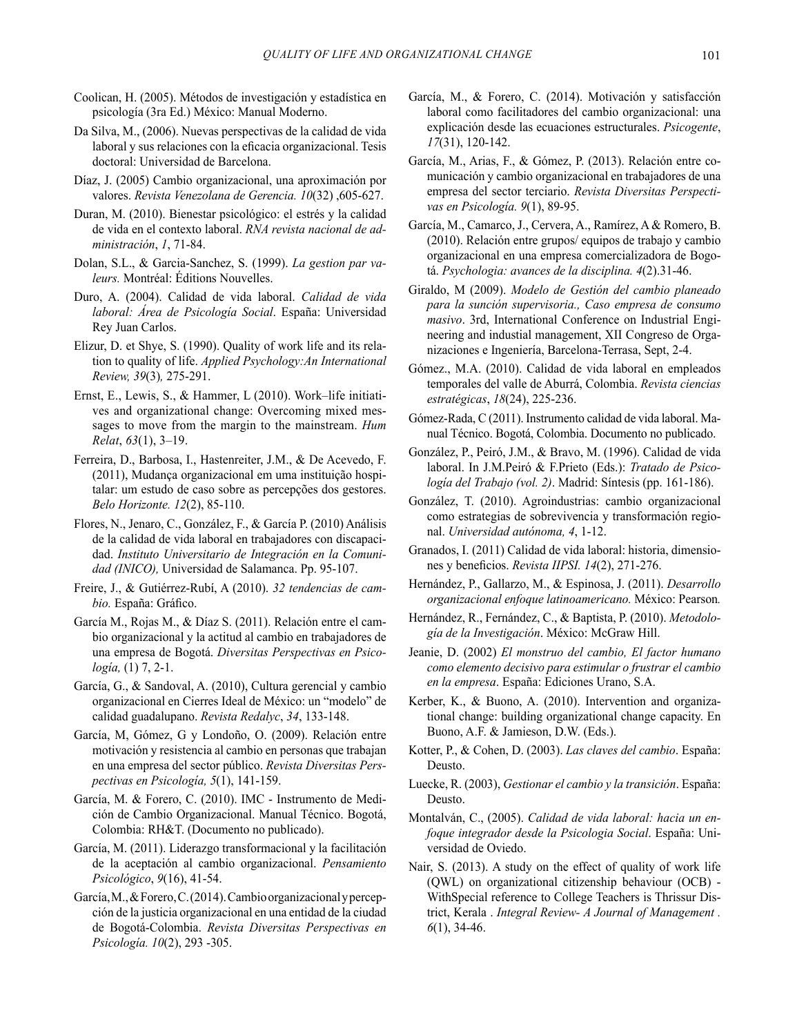- Coolican, H. (2005). Métodos de investigación y estadística en psicología (3ra Ed.) México: Manual Moderno.
- Da Silva, M., (2006). Nuevas perspectivas de la calidad de vida laboral y sus relaciones con la eficacia organizacional. Tesis doctoral: Universidad de Barcelona.
- Díaz, J. (2005) Cambio organizacional, una aproximación por valores. *Revista Venezolana de Gerencia. 10*(32) ,605-627.
- Duran, M. (2010). Bienestar psicológico: el estrés y la calidad de vida en el contexto laboral. *RNA revista nacional de administración*, *1*, 71-84.
- Dolan, S.L., & Garcia-Sanchez, S. (1999). *La gestion par valeurs.* Montréal: Éditions Nouvelles.
- Duro, A. (2004). Calidad de vida laboral. *Calidad de vida laboral: Área de Psicología Social*. España: Universidad Rey Juan Carlos.
- Elizur, D. et Shye, S. (1990). Quality of work life and its relation to quality of life. *Applied Psychology:An International Review, 39*(3)*,* 275-291.
- Ernst, E., Lewis, S., & Hammer, L (2010). Work–life initiatives and organizational change: Overcoming mixed messages to move from the margin to the mainstream. *Hum Relat*, *63*(1), 3–19.
- Ferreira, D., Barbosa, I., Hastenreiter, J.M., & De Acevedo, F. (2011), Mudança organizacional em uma instituição hospitalar: um estudo de caso sobre as percepções dos gestores. *Belo Horizonte. 12*(2), 85-110.
- Flores, N., Jenaro, C., González, F., & García P. (2010) Análisis de la calidad de vida laboral en trabajadores con discapacidad. *Instituto Universitario de Integración en la Comunidad (INICO),* Universidad de Salamanca. Pp. 95-107.
- Freire, J., & Gutiérrez-Rubí, A (2010). *32 tendencias de cambio.* España: Gráfico.
- García M., Rojas M., & Díaz S. (2011). Relación entre el cambio organizacional y la actitud al cambio en trabajadores de una empresa de Bogotá. *Diversitas Perspectivas en Psicología,* (1) 7, 2-1.
- García, G., & Sandoval, A. (2010), Cultura gerencial y cambio organizacional en Cierres Ideal de México: un "modelo" de calidad guadalupano. *Revista Redalyc*, *34*, 133-148.
- García, M, Gómez, G y Londoño, O. (2009). Relación entre motivación y resistencia al cambio en personas que trabajan en una empresa del sector público. *Revista Diversitas Perspectivas en Psicología, 5*(1), 141-159.
- García, M. & Forero, C. (2010). IMC Instrumento de Medición de Cambio Organizacional. Manual Técnico. Bogotá, Colombia: RH&T. (Documento no publicado).
- García, M. (2011). Liderazgo transformacional y la facilitación de la aceptación al cambio organizacional. *Pensamiento Psicológico*, *9*(16), 41-54.
- García, M., & Forero, C. (2014). Cambio organizacional y percepción de la justicia organizacional en una entidad de la ciudad de Bogotá-Colombia. *Revista Diversitas Perspectivas en Psicología. 10*(2), 293 -305.
- García, M., & Forero, C. (2014). Motivación y satisfacción laboral como facilitadores del cambio organizacional: una explicación desde las ecuaciones estructurales. *Psicogente*, *17*(31), 120-142.
- García, M., Arias, F., & Gómez, P. (2013). Relación entre comunicación y cambio organizacional en trabajadores de una empresa del sector terciario. *Revista Diversitas Perspectivas en Psicología. 9*(1), 89-95.
- García, M., Camarco, J., Cervera, A., Ramírez, A & Romero, B. (2010). Relación entre grupos/ equipos de trabajo y cambio organizacional en una empresa comercializadora de Bogotá. *Psychologia: avances de la disciplina. 4*(2).31-46.
- Giraldo, M (2009). *Modelo de Gestión del cambio planeado para la sunción supervisoria., Caso empresa de* c*onsumo masivo*. 3rd, International Conference on Industrial Engineering and industial management, XII Congreso de Organizaciones e Ingeniería, Barcelona-Terrasa, Sept, 2-4.
- Gómez., M.A. (2010). Calidad de vida laboral en empleados temporales del valle de Aburrá, Colombia. *Revista ciencias estratégicas*, *18*(24), 225-236.
- Gómez-Rada, C (2011). Instrumento calidad de vida laboral. Manual Técnico. Bogotá, Colombia. Documento no publicado.
- González, P., Peiró, J.M., & Bravo, M. (1996). Calidad de vida laboral. In J.M.Peiró & F.Prieto (Eds.): *Tratado de Psicología del Trabajo (vol. 2)*. Madrid: Síntesis (pp. 161-186).
- González, T. (2010). Agroindustrias: cambio organizacional como estrategias de sobrevivencia y transformación regional. *Universidad autónoma, 4*, 1-12.
- Granados, I. (2011) Calidad de vida laboral: historia, dimensiones y beneficios. *Revista IIPSI. 14*(2), 271-276.
- Hernández, P., Gallarzo, M., & Espinosa, J. (2011). *Desarrollo organizacional enfoque latinoamericano.* México: Pearson*.*
- Hernández, R., Fernández, C., & Baptista, P. (2010). *Metodología de la Investigación*. México: McGraw Hill.
- Jeanie, D. (2002) *El monstruo del cambio, El factor humano como elemento decisivo para estimular o frustrar el cambio en la empresa*. España: Ediciones Urano, S.A.
- Kerber, K., & Buono, A. (2010). Intervention and organizational change: building organizational change capacity. En Buono, A.F. & Jamieson, D.W. (Eds.).
- Kotter, P., & Cohen, D. (2003). *Las claves del cambio*. España: Deusto.
- Luecke, R. (2003), *Gestionar el cambio y la transición*. España: Deusto.
- Montalván, C., (2005). *Calidad de vida laboral: hacia un enfoque integrador desde la Psicologia Social*. España: Universidad de Oviedo.
- Nair, S. (2013). A study on the effect of quality of work life (QWL) on organizational citizenship behaviour (OCB) - WithSpecial reference to College Teachers is Thrissur District, Kerala . *Integral Review- A Journal of Management . 6*(1), 34-46.